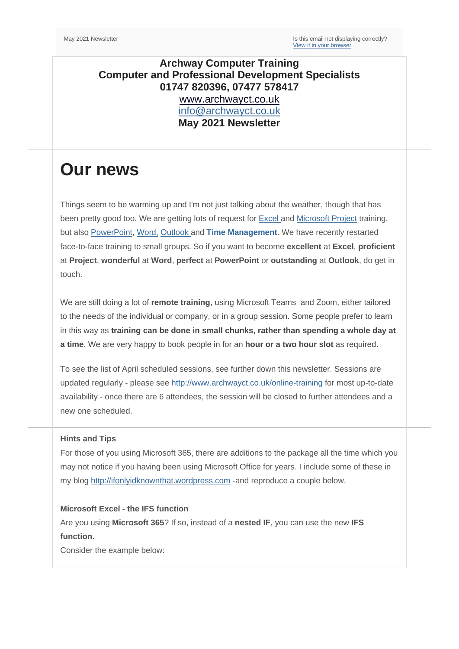## **Archway Computer Training Computer and Professional Development Specialists 01747 820396, 07477 578417** [www.archwayct.co.uk](http://www.archwayct.co.uk/) [info@archwayct.co.uk](mailto:%20info@archwayct.co.uk) **May 2021 Newsletter**

# **Our news**

Things seem to be warming up and I'm not just talking about the weather, though that has been pretty good too. We are getting lots of request for [Excel a](http://www.archwayct.co.uk/microsoft-office-training/microsoft-excel-training)n[d Microsoft Project](http://www.jmdtraining.co.uk/it-training/microsoft-project-training) training, but also [PowerPoint,](http://www.archwayct.co.uk/microsoft-office-training/microsoft-powerpoint-training) [Word,](http://www.archwayct.co.uk/microsoft-office-training/microsoft-word-training) [Outlook](http://www.archwayct.co.uk/microsoft-office-training/microsoft-outlook-training) and **[Time Management](http://www.archwayct.co.uk/professional-development-training/time-management-training)**. We have recently restarted face-to-face training to small groups. So if you want to become **excellent** at **Excel**, **proficient**  at **Project**, **wonderful** at **Word**, **perfect** at **PowerPoint** or **outstanding** at **Outlook**, do get in touch.

We are still doing a lot of **remote training**, using Microsoft Teams and Zoom, either tailored to the needs of the individual or company, or in a group session. Some people prefer to learn in this way as **training can be done in small chunks, rather than spending a whole day at a time**. We are very happy to book people in for an **hour or a two hour slot** as required.

To see the list of April scheduled sessions, see further down this newsletter. Sessions are updated regularly - please see<http://www.archwayct.co.uk/online-training> for most up-to-date availability - once there are 6 attendees, the session will be closed to further attendees and a new one scheduled.

### **Hints and Tips**

For those of you using Microsoft 365, there are additions to the package all the time which you may not notice if you having been using Microsoft Office for years. I include some of these in my blog [http://ifonlyidknownthat.wordpress.com](http://ifonlyidknownthat.wordpress.com/) -and reproduce a couple below.

### **Microsoft Excel - the IFS function**

Are you using **Microsoft 365**? If so, instead of a **nested IF**, you can use the new **IFS function**.

Consider the example below: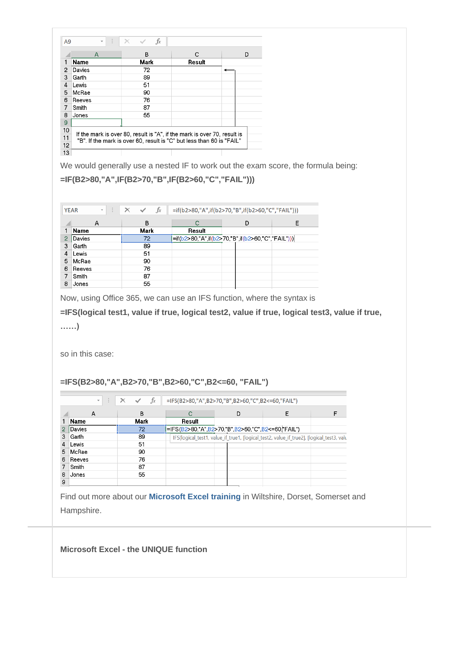| A <sub>9</sub> |             | $\int x$                                                                 |        |   |
|----------------|-------------|--------------------------------------------------------------------------|--------|---|
|                | A           | B                                                                        | c      | D |
| 1              | <b>Name</b> | Mark                                                                     | Result |   |
| 2              | Davies      | 72                                                                       |        |   |
| 3              | Garth       | 89                                                                       |        |   |
| 4              | Lewis       | 51                                                                       |        |   |
| 5              | McRae       | 90                                                                       |        |   |
| 6              | Reeves      | 76                                                                       |        |   |
| 7              | Smith       | 87                                                                       |        |   |
| 8              | Jones       | 55                                                                       |        |   |
| 9              |             |                                                                          |        |   |
| 10             |             | If the mark is over 80, result is "A", if the mark is over 70, result is |        |   |
| 11             |             | "B". If the mark is over 60, result is "C" but less than 60 is "FAIL"    |        |   |
| 12             |             |                                                                          |        |   |
| 13             |             |                                                                          |        |   |

We would generally use a nested IF to work out the exam score, the formula being:

## **=IF(B2>80,"A",IF(B2>70,"B",IF(B2>60,"C","FAIL")))**

|   | ÷<br><b>YEAR</b><br>$\overline{\mathbf v}$ | fx<br>$\times$<br>$\checkmark$ |        | =if(b2>80,"A",if(b2>70,"B",if(b2>60,"C","FAIL"))) |   |
|---|--------------------------------------------|--------------------------------|--------|---------------------------------------------------|---|
|   | А                                          | B                              |        | D                                                 | Е |
|   | <b>Name</b>                                | Mark                           | Result |                                                   |   |
| 2 | Davies                                     | 72                             |        | =if(b2>80,"A",if(b2>70,"B",if(b2>60,"C","FAIL"))) |   |
| 3 | Garth                                      | 89                             |        |                                                   |   |
| 4 | Lewis                                      | 51                             |        |                                                   |   |
| 5 | McRae                                      | 90                             |        |                                                   |   |
| 6 | Reeves                                     | 76                             |        |                                                   |   |
|   | Smith                                      | 87                             |        |                                                   |   |
| 8 | Jones                                      | 55                             |        |                                                   |   |

Now, using Office 365, we can use an IFS function, where the syntax is

**=IFS(logical test1, value if true, logical test2, value if true, logical test3, value if true,** 

**……)**

so in this case:

#### **=IFS(B2>80,"A",B2>70,"B",B2>60,"C",B2<=60, "FAIL")**

|   | $\overline{\mathbf{v}}$ | $f_x$ | =IFS(B2>80,"A",B2>70,"B",B2>60,"C",B2<=60,"FAIL") |   |                                                                                          |  |
|---|-------------------------|-------|---------------------------------------------------|---|------------------------------------------------------------------------------------------|--|
|   | А                       | B     |                                                   | D |                                                                                          |  |
|   | Name                    | Mark  | Result                                            |   |                                                                                          |  |
|   | Davies                  | 72    | =IFS(B2>80,"A",B2>70,"B",B2>60,"C",B2<=60,"FAIL") |   |                                                                                          |  |
| 3 | Garth                   | 89    |                                                   |   | IFS(logical_test1, value_if_true1, [logical_test2, value_if_true2], [logical_test3, valu |  |
| 4 | Lewis                   | 51    |                                                   |   |                                                                                          |  |
| 5 | McRae                   | 90    |                                                   |   |                                                                                          |  |
| 6 | Reeves                  | 76    |                                                   |   |                                                                                          |  |
|   | Smith                   | 87    |                                                   |   |                                                                                          |  |
| 8 | Jones                   | 55    |                                                   |   |                                                                                          |  |
| 9 |                         |       |                                                   |   |                                                                                          |  |

Find out more about our **[Microsoft Excel training](http://www.archwayct.co.uk/microsoft-office-training/microsoft-excel-training)** in Wiltshire, Dorset, Somerset and Hampshire.

#### **Microsoft Excel - the UNIQUE function**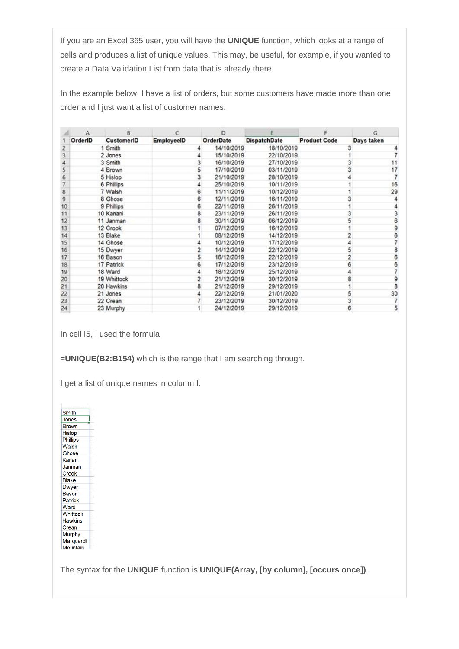If you are an Excel 365 user, you will have the **UNIQUE** function, which looks at a range of cells and produces a list of unique values. This may, be useful, for example, if you wanted to create a Data Validation List from data that is already there.

In the example below, I have a list of orders, but some customers have made more than one order and I just want a list of customer names.

|    | А       | B           |            | D                |                     |                     | G          |
|----|---------|-------------|------------|------------------|---------------------|---------------------|------------|
|    | OrderID | CustomerID  | EmployeeID | <b>OrderDate</b> | <b>DispatchDate</b> | <b>Product Code</b> | Days taken |
|    |         | 1 Smith     |            | 14/10/2019       | 18/10/2019          |                     |            |
|    |         | 2 Jones     |            | 15/10/2019       | 22/10/2019          |                     |            |
| 4  |         | 3 Smith     | 3          | 16/10/2019       | 27/10/2019          |                     | 11         |
| 5  |         | 4 Brown     | 5          | 17/10/2019       | 03/11/2019          |                     | 17         |
| 6  |         | 5 Hislop    | 3          | 21/10/2019       | 28/10/2019          |                     |            |
|    |         | 6 Phillips  |            | 25/10/2019       | 10/11/2019          |                     | 16         |
| 8  |         | 7 Walsh     | 6          | 11/11/2019       | 10/12/2019          |                     | 29         |
| 9  |         | 8 Ghose     | 6          | 12/11/2019       | 16/11/2019          |                     |            |
| 10 |         | 9 Phillips  | 6          | 22/11/2019       | 26/11/2019          |                     |            |
| 11 |         | 10 Kanani   | 8          | 23/11/2019       | 26/11/2019          |                     |            |
| 12 |         | 11 Janman   | 8          | 30/11/2019       | 06/12/2019          |                     | 6          |
| 13 |         | 12 Crook    |            | 07/12/2019       | 16/12/2019          |                     | 9          |
| 14 |         | 13 Blake    |            | 08/12/2019       | 14/12/2019          |                     |            |
| 15 |         | 14 Ghose    |            | 10/12/2019       | 17/12/2019          |                     |            |
| 16 |         | 15 Dwyer    |            | 14/12/2019       | 22/12/2019          |                     |            |
| 17 |         | 16 Bason    | 5.         | 16/12/2019       | 22/12/2019          |                     |            |
| 18 |         | 17 Patrick  | 6          | 17/12/2019       | 23/12/2019          |                     |            |
| 19 |         | 18 Ward     |            | 18/12/2019       | 25/12/2019          |                     |            |
| 20 |         | 19 Whittock | 2          | 21/12/2019       | 30/12/2019          |                     | 9          |
| 21 |         | 20 Hawkins  | 8          | 21/12/2019       | 29/12/2019          |                     |            |
| 22 |         | 21 Jones    |            | 22/12/2019       | 21/01/2020          |                     | 30         |
| 23 |         | 22 Crean    |            | 23/12/2019       | 30/12/2019          |                     |            |
| 24 |         | 23 Murphy   |            | 24/12/2019       | 29/12/2019          |                     | 5          |

In cell I5, I used the formula

**=UNIQUE(B2:B154)** which is the range that I am searching through.

I get a list of unique names in column I.

| Smith           |  |
|-----------------|--|
| Jones           |  |
| <b>Brown</b>    |  |
| <b>Hislop</b>   |  |
| <b>Phillips</b> |  |
| Walsh           |  |
| Ghose           |  |
| Kanani          |  |
| Janman          |  |
| Crook           |  |
| <b>Blake</b>    |  |
| <b>Dwyer</b>    |  |
| Bason           |  |
| Patrick         |  |
| Ward            |  |
| <b>Whittock</b> |  |
| <b>Hawkins</b>  |  |
| Crean           |  |
| <b>Murphy</b>   |  |
| Marquardt       |  |
| Mountain        |  |

The syntax for the **UNIQUE** function is **UNIQUE(Array, [by column], [occurs once])**.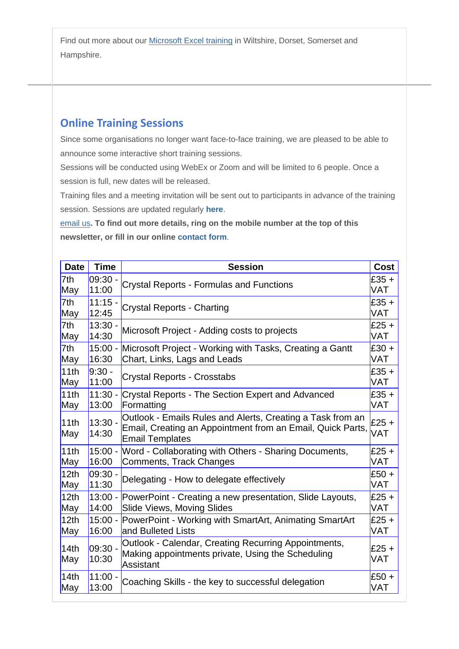Find out more about our [Microsoft Excel training](http://www.archwayct.co.uk/microsoft-office-training/microsoft-excel-training) in Wiltshire, Dorset, Somerset and Hampshire.

# **Online Training Sessions**

Since some organisations no longer want face-to-face training, we are pleased to be able to announce some interactive short training sessions.

Sessions will be conducted using WebEx or Zoom and will be limited to 6 people. Once a session is full, new dates will be released.

Training files and a meeting invitation will be sent out to participants in advance of the training session. Sessions are updated regularly **[here](http://www.archwayct.co.uk/online-training)**.

[email us](mailto:jdonbavand@btinternet.com?subject=Online%20training)**. To find out more details, ring on the mobile number at the top of this newsletter, or fill in our online [contact form](http://www.archwayct.co.uk/contact)**.

| <b>Date</b>             | <b>Time</b>        | <b>Session</b>                                                                                                                                     | <b>Cost</b>    |
|-------------------------|--------------------|----------------------------------------------------------------------------------------------------------------------------------------------------|----------------|
| 7th                     | $09:30 -$          | <b>Crystal Reports - Formulas and Functions</b>                                                                                                    | $£35 +$        |
| May                     | 11:00              |                                                                                                                                                    | VAT            |
| 7th                     | $11:15 -$          | <b>Crystal Reports - Charting</b>                                                                                                                  | $£35 +$        |
| May                     | 12:45              |                                                                                                                                                    | VAT            |
| 7th                     | $13:30 -$          | Microsoft Project - Adding costs to projects                                                                                                       | $£25 +$        |
| May                     | 14:30              |                                                                                                                                                    | VAT            |
| 7th                     | $15:00 -$          | Microsoft Project - Working with Tasks, Creating a Gantt                                                                                           | $£30 +$        |
| May                     | 16:30              | Chart, Links, Lags and Leads                                                                                                                       | VAT            |
| 11th                    | $9:30 -$           | <b>Crystal Reports - Crosstabs</b>                                                                                                                 | $£35 +$        |
| May                     | 11:00              |                                                                                                                                                    | VAT            |
| 11th                    | $11:30 -$          | <b>Crystal Reports - The Section Expert and Advanced</b>                                                                                           | $£35 +$        |
| May                     | 13:00              | Formatting                                                                                                                                         | VAT            |
| 11th<br>May             | $13:30 -$<br>14:30 | Outlook - Emails Rules and Alerts, Creating a Task from an<br>Email, Creating an Appointment from an Email, Quick Parts,<br><b>Email Templates</b> | £25 +<br>VAT   |
| 11th                    | $15:00 -$          | Word - Collaborating with Others - Sharing Documents,                                                                                              | $£25 +$        |
| May                     | 16:00              | Comments, Track Changes                                                                                                                            | VAT            |
| 12 <sub>th</sub>        | $09:30 -$          | Delegating - How to delegate effectively                                                                                                           | £50 +          |
| May                     | 11:30              |                                                                                                                                                    | VAT            |
| 12th                    | $13:00 -$          | PowerPoint - Creating a new presentation, Slide Layouts,                                                                                           | $£25 +$        |
| May                     | 14:00              | <b>Slide Views, Moving Slides</b>                                                                                                                  | VAT            |
| 12th                    | $15:00 -$          | PowerPoint - Working with SmartArt, Animating SmartArt                                                                                             | $£25 +$        |
| May                     | 16:00              | and Bulleted Lists                                                                                                                                 | VAT            |
| 14 <sub>th</sub><br>May | $09:30 -$<br>10:30 | Outlook - Calendar, Creating Recurring Appointments,<br>Making appointments private, Using the Scheduling<br>Assistant                             | $£25 +$<br>VAT |
| 14th                    | $11:00 -$          | Coaching Skills - the key to successful delegation                                                                                                 | $£50 +$        |
| May                     | 13:00              |                                                                                                                                                    | VAT            |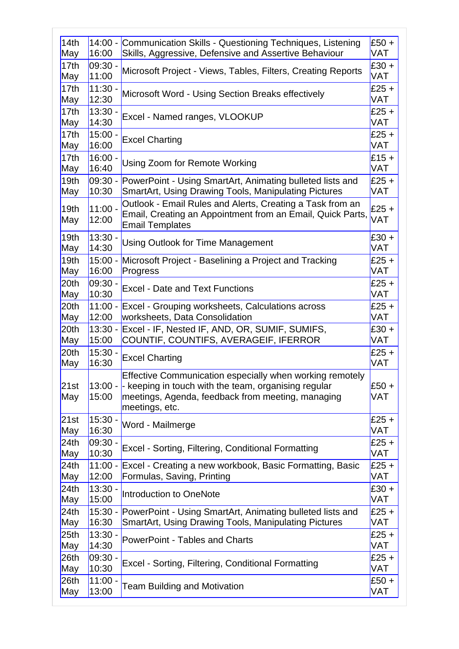| 14th                    | $14:00 -$          | Communication Skills - Questioning Techniques, Listening                                                                                                                                                     | $E50 +$      |
|-------------------------|--------------------|--------------------------------------------------------------------------------------------------------------------------------------------------------------------------------------------------------------|--------------|
| May                     | 16:00              | Skills, Aggressive, Defensive and Assertive Behaviour                                                                                                                                                        | VAT          |
| 17th                    | $09:30 -$          | Microsoft Project - Views, Tables, Filters, Creating Reports                                                                                                                                                 | $£30 +$      |
| May                     | 11:00              |                                                                                                                                                                                                              | VAT          |
| 17 <sub>th</sub>        | $11:30 -$          | Microsoft Word - Using Section Breaks effectively                                                                                                                                                            | £25 +        |
| May                     | 12:30              | Excel - Named ranges, VLOOKUP                                                                                                                                                                                | VAT          |
| 17th                    | $13:30 -$          |                                                                                                                                                                                                              | £25 $+$      |
| May                     | 14:30              |                                                                                                                                                                                                              | VAT          |
| 17th                    | $15:00 -$          |                                                                                                                                                                                                              | $£25 +$      |
| May                     | 16:00              | <b>Excel Charting</b>                                                                                                                                                                                        | <b>VAT</b>   |
| 17th                    | $16:00 -$          | Using Zoom for Remote Working                                                                                                                                                                                | $£15 +$      |
| May                     | 16:40              |                                                                                                                                                                                                              | VAT          |
| 19 <sub>th</sub>        | 09:30 -            | PowerPoint - Using SmartArt, Animating bulleted lists and                                                                                                                                                    | $£25 +$      |
| May                     | 10:30              | <b>SmartArt, Using Drawing Tools, Manipulating Pictures</b>                                                                                                                                                  | VAT          |
| 19 <sub>th</sub><br>May | $11:00 -$<br>12:00 | Outlook - Email Rules and Alerts, Creating a Task from an<br>Email, Creating an Appointment from an Email, Quick Parts,<br><b>Email Templates</b>                                                            | £25 +<br>VAT |
| 19 <sub>th</sub>        | $13:30 -$          | <b>Using Outlook for Time Management</b>                                                                                                                                                                     | £30 +        |
| May                     | 14:30              |                                                                                                                                                                                                              | VAT          |
| 19 <sub>th</sub>        | $15:00 -$          | Microsoft Project - Baselining a Project and Tracking                                                                                                                                                        | £25 $+$      |
| May                     | 16:00              | Progress                                                                                                                                                                                                     | VAT          |
| 20th                    | 09:30.             | <b>Excel - Date and Text Functions</b>                                                                                                                                                                       | £25 +        |
| May                     | 10:30              |                                                                                                                                                                                                              | VAT          |
| 20th                    | $11:00 -$          | <b>Excel - Grouping worksheets, Calculations across</b>                                                                                                                                                      | £25 $+$      |
| May                     | 12:00              | worksheets, Data Consolidation                                                                                                                                                                               | VAT          |
| 20th                    | $13:30 -$          | Excel - IF, Nested IF, AND, OR, SUMIF, SUMIFS,                                                                                                                                                               | $£30 +$      |
| May                     | 15:00              | COUNTIF, COUNTIFS, AVERAGEIF, IFERROR                                                                                                                                                                        | VAT          |
| 20th                    | $15:30 -$          | <b>Excel Charting</b>                                                                                                                                                                                        | $£25 +$      |
| May                     | 16:30              |                                                                                                                                                                                                              | VAT          |
| 21st<br>May             | 15:00              | Effective Communication especially when working remotely<br>13:00 - $\blacksquare$ keeping in touch with the team, organising regular<br>meetings, Agenda, feedback from meeting, managing<br>meetings, etc. | £50 +<br>VAT |
| 21st                    | $15:30 -$          | Word - Mailmerge                                                                                                                                                                                             | $£25 +$      |
| May                     | 16:30              |                                                                                                                                                                                                              | VAT          |
| 24th                    | 09:30.             | <b>Excel - Sorting, Filtering, Conditional Formatting</b>                                                                                                                                                    | £25 $+$      |
| May                     | 10:30              |                                                                                                                                                                                                              | VAT          |
| 24th                    | $11:00 -$          | Excel - Creating a new workbook, Basic Formatting, Basic                                                                                                                                                     | $£25 +$      |
| May                     | 12:00              | Formulas, Saving, Printing                                                                                                                                                                                   | VAT          |
| 24th                    | $13:30 -$          | Introduction to OneNote                                                                                                                                                                                      | $£30 +$      |
| May                     | 15:00              |                                                                                                                                                                                                              | VAT          |
| 24th                    | $15:30 -$          | PowerPoint - Using SmartArt, Animating bulleted lists and                                                                                                                                                    | $£25 +$      |
| May                     | 16:30              | <b>SmartArt, Using Drawing Tools, Manipulating Pictures</b>                                                                                                                                                  | VAT          |
| 25 <sub>th</sub>        | 13:30.             | <b>PowerPoint - Tables and Charts</b>                                                                                                                                                                        | $£25 +$      |
| May                     | 14:30              |                                                                                                                                                                                                              | VAT          |
| 26th                    | $09:30 -$          | <b>Excel - Sorting, Filtering, Conditional Formatting</b>                                                                                                                                                    | £25 +        |
| May                     | 10:30              |                                                                                                                                                                                                              | VAT          |
| 26th                    | $11:00 -$          | <b>Team Building and Motivation</b>                                                                                                                                                                          | $£50 +$      |
| May                     | 13:00              |                                                                                                                                                                                                              | <b>VAT</b>   |
|                         |                    |                                                                                                                                                                                                              |              |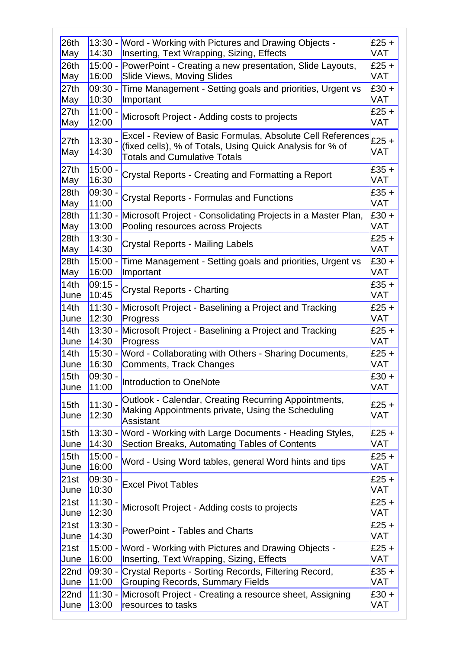|                    |                                                                                                                                                                | $£25 +$<br>VAT                                                                                                                                                                                                                                                                                                                                                                                                                                                                                                                                                         |
|--------------------|----------------------------------------------------------------------------------------------------------------------------------------------------------------|------------------------------------------------------------------------------------------------------------------------------------------------------------------------------------------------------------------------------------------------------------------------------------------------------------------------------------------------------------------------------------------------------------------------------------------------------------------------------------------------------------------------------------------------------------------------|
| $15:00 -$<br>16:00 | <b>Slide Views, Moving Slides</b>                                                                                                                              | £25 $+$<br>VAT                                                                                                                                                                                                                                                                                                                                                                                                                                                                                                                                                         |
| $09:30 -$<br>10:30 | Time Management - Setting goals and priorities, Urgent vs<br>Important                                                                                         | $£30 +$<br>VAT                                                                                                                                                                                                                                                                                                                                                                                                                                                                                                                                                         |
| $11:00 -$<br>12:00 |                                                                                                                                                                | £25 $+$<br>VAT                                                                                                                                                                                                                                                                                                                                                                                                                                                                                                                                                         |
| $13:30 -$<br>14:30 | Excel - Review of Basic Formulas, Absolute Cell References<br>(fixed cells), % of Totals, Using Quick Analysis for % of<br><b>Totals and Cumulative Totals</b> | £25 $+$<br>VAT                                                                                                                                                                                                                                                                                                                                                                                                                                                                                                                                                         |
| 15:00<br>16:30     | Crystal Reports - Creating and Formatting a Report                                                                                                             | $£35 +$<br>VAT                                                                                                                                                                                                                                                                                                                                                                                                                                                                                                                                                         |
| 09:30<br>11:00     | <b>Crystal Reports - Formulas and Functions</b>                                                                                                                | $£35+$<br>VAT                                                                                                                                                                                                                                                                                                                                                                                                                                                                                                                                                          |
| $11:30 -$<br>13:00 | Pooling resources across Projects                                                                                                                              | $£30 +$<br>VAT                                                                                                                                                                                                                                                                                                                                                                                                                                                                                                                                                         |
| 13:30.<br>14:30    | Crystal Reports - Mailing Labels                                                                                                                               | £25 $+$<br>VAT                                                                                                                                                                                                                                                                                                                                                                                                                                                                                                                                                         |
| $15:00 -$<br>16:00 | Time Management - Setting goals and priorities, Urgent vs<br>Important                                                                                         | $£30 +$<br>VAT                                                                                                                                                                                                                                                                                                                                                                                                                                                                                                                                                         |
| 09:15.<br>10:45    | Crystal Reports - Charting                                                                                                                                     | £35 +<br>VAT                                                                                                                                                                                                                                                                                                                                                                                                                                                                                                                                                           |
| $11:30 -$<br>12:30 | Progress                                                                                                                                                       | £25 +<br>VAT                                                                                                                                                                                                                                                                                                                                                                                                                                                                                                                                                           |
| $13:30 -$<br>14:30 | Progress                                                                                                                                                       | £25 +<br>VAT                                                                                                                                                                                                                                                                                                                                                                                                                                                                                                                                                           |
| $15:30 -$<br>16:30 | Word - Collaborating with Others - Sharing Documents,<br>Comments, Track Changes                                                                               | £25 $+$<br>VAT                                                                                                                                                                                                                                                                                                                                                                                                                                                                                                                                                         |
| $09:30 -$<br>11:00 | Introduction to OneNote                                                                                                                                        | $£30 +$<br>VAT                                                                                                                                                                                                                                                                                                                                                                                                                                                                                                                                                         |
| $11:30 -$<br>12:30 | Outlook - Calendar, Creating Recurring Appointments,<br>Assistant                                                                                              | $£25 +$<br>VAT                                                                                                                                                                                                                                                                                                                                                                                                                                                                                                                                                         |
| $13:30 -$<br>14:30 | Word - Working with Large Documents - Heading Styles,<br>Section Breaks, Automating Tables of Contents                                                         | £25 +<br>VAT                                                                                                                                                                                                                                                                                                                                                                                                                                                                                                                                                           |
| 15:00.<br>16:00    | Word - Using Word tables, general Word hints and tips                                                                                                          | £25 +<br>VAT                                                                                                                                                                                                                                                                                                                                                                                                                                                                                                                                                           |
| 09:30<br>10:30     | <b>Excel Pivot Tables</b>                                                                                                                                      | $£25 +$<br>VAT                                                                                                                                                                                                                                                                                                                                                                                                                                                                                                                                                         |
| $11:30 -$<br>12:30 |                                                                                                                                                                | £25 $+$<br>VAT                                                                                                                                                                                                                                                                                                                                                                                                                                                                                                                                                         |
| $13:30 -$<br>14:30 | PowerPoint - Tables and Charts                                                                                                                                 | £25 $+$<br><b>VAT</b>                                                                                                                                                                                                                                                                                                                                                                                                                                                                                                                                                  |
| $15:00 -$<br>16:00 | Word - Working with Pictures and Drawing Objects -<br>Inserting, Text Wrapping, Sizing, Effects                                                                | £25 +<br>VAT                                                                                                                                                                                                                                                                                                                                                                                                                                                                                                                                                           |
| $09:30 -$<br>11:00 | Crystal Reports - Sorting Records, Filtering Record,<br><b>Grouping Records, Summary Fields</b>                                                                | $£35 +$<br>VAT                                                                                                                                                                                                                                                                                                                                                                                                                                                                                                                                                         |
| $11:30 -$<br>13:00 | resources to tasks                                                                                                                                             | $£30 +$<br>VAT                                                                                                                                                                                                                                                                                                                                                                                                                                                                                                                                                         |
|                    | 14:30                                                                                                                                                          | 13:30 - Word - Working with Pictures and Drawing Objects -<br>Inserting, Text Wrapping, Sizing, Effects<br>PowerPoint - Creating a new presentation, Slide Layouts,<br>Microsoft Project - Adding costs to projects<br>Microsoft Project - Consolidating Projects in a Master Plan,<br>Microsoft Project - Baselining a Project and Tracking<br>Microsoft Project - Baselining a Project and Tracking<br>Making Appointments private, Using the Scheduling<br>Microsoft Project - Adding costs to projects<br>Microsoft Project - Creating a resource sheet, Assigning |